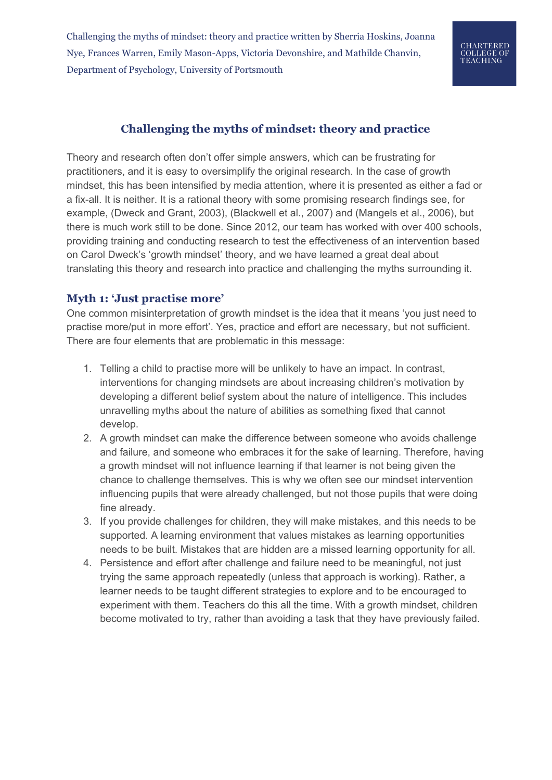Challenging the myths of mindset: theory and practice written by Sherria Hoskins, Joanna Nye, Frances Warren, Emily Mason-Apps, Victoria Devonshire, and Mathilde Chanvin, Department of Psychology, University of Portsmouth

# **Challenging the myths of mindset: theory and practice**

Theory and research often don't offer simple answers, which can be frustrating for practitioners, and it is easy to oversimplify the original research. In the case of growth mindset, this has been intensified by media attention, where it is presented as either a fad or a fix-all. It is neither. It is a rational theory with some promising research findings see, for example, (Dweck and Grant, 2003), (Blackwell et al., 2007) and (Mangels et al., 2006), but there is much work still to be done. Since 2012, our team has worked with over 400 schools, providing training and conducting research to test the effectiveness of an intervention based on Carol Dweck's 'growth mindset' theory, and we have learned a great deal about translating this theory and research into practice and challenging the myths surrounding it.

#### **Myth 1: 'Just practise more'**

One common misinterpretation of growth mindset is the idea that it means 'you just need to practise more/put in more effort'. Yes, practice and effort are necessary, but not sufficient. There are four elements that are problematic in this message:

- 1. Telling a child to practise more will be unlikely to have an impact. In contrast, interventions for changing mindsets are about increasing children's motivation by developing a different belief system about the nature of intelligence. This includes unravelling myths about the nature of abilities as something fixed that cannot develop.
- 2. A growth mindset can make the difference between someone who avoids challenge and failure, and someone who embraces it for the sake of learning. Therefore, having a growth mindset will not influence learning if that learner is not being given the chance to challenge themselves. This is why we often see our mindset intervention influencing pupils that were already challenged, but not those pupils that were doing fine already.
- 3. If you provide challenges for children, they will make mistakes, and this needs to be supported. A learning environment that values mistakes as learning opportunities needs to be built. Mistakes that are hidden are a missed learning opportunity for all.
- 4. Persistence and effort after challenge and failure need to be meaningful, not just trying the same approach repeatedly (unless that approach is working). Rather, a learner needs to be taught different strategies to explore and to be encouraged to experiment with them. Teachers do this all the time. With a growth mindset, children become motivated to try, rather than avoiding a task that they have previously failed.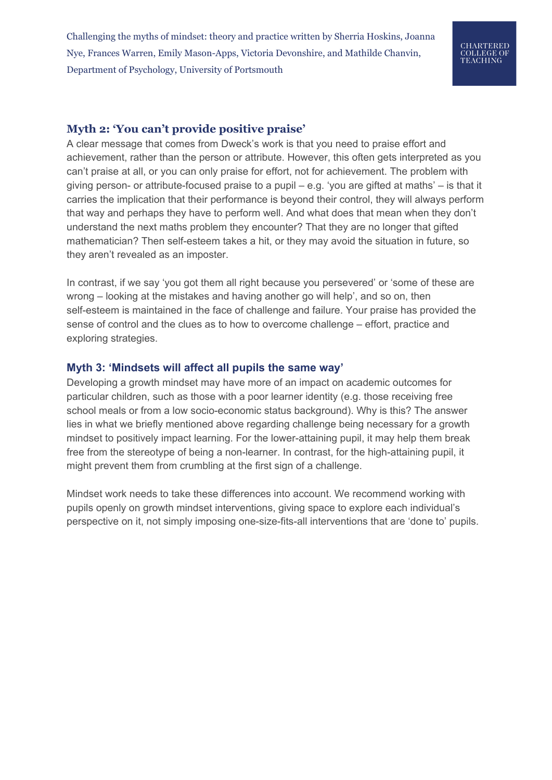Challenging the myths of mindset: theory and practice written by Sherria Hoskins, Joanna Nye, Frances Warren, Emily Mason-Apps, Victoria Devonshire, and Mathilde Chanvin, Department of Psychology, University of Portsmouth

# CHARTERED **COLLEGE OF<br>TEACHING**

### **Myth 2: 'You can't provide positive praise'**

A clear message that comes from Dweck's work is that you need to praise effort and achievement, rather than the person or attribute. However, this often gets interpreted as you can't praise at all, or you can only praise for effort, not for achievement. The problem with giving person- or attribute-focused praise to a pupil – e.g. 'you are gifted at maths' – is that it carries the implication that their performance is beyond their control, they will always perform that way and perhaps they have to perform well. And what does that mean when they don't understand the next maths problem they encounter? That they are no longer that gifted mathematician? Then self-esteem takes a hit, or they may avoid the situation in future, so they aren't revealed as an imposter.

In contrast, if we say 'you got them all right because you persevered' or 'some of these are wrong – looking at the mistakes and having another go will help', and so on, then self-esteem is maintained in the face of challenge and failure. Your praise has provided the sense of control and the clues as to how to overcome challenge – effort, practice and exploring strategies.

#### **Myth 3: 'Mindsets will affect all pupils the same way'**

Developing a growth mindset may have more of an impact on academic outcomes for particular children, such as those with a poor learner identity (e.g. those receiving free school meals or from a low socio-economic status background). Why is this? The answer lies in what we briefly mentioned above regarding challenge being necessary for a growth mindset to positively impact learning. For the lower-attaining pupil, it may help them break free from the stereotype of being a non-learner. In contrast, for the high-attaining pupil, it might prevent them from crumbling at the first sign of a challenge.

Mindset work needs to take these differences into account. We recommend working with pupils openly on growth mindset interventions, giving space to explore each individual's perspective on it, not simply imposing one-size-fits-all interventions that are 'done to' pupils.